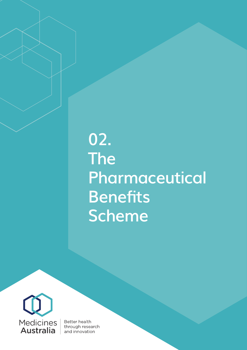## **02. The Pharmaceutical Benefits Scheme**



**Better health** through research and innovation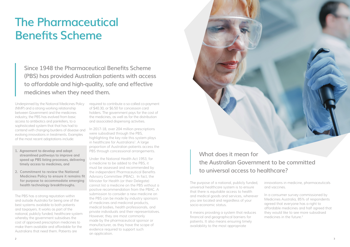The purpose of a national, publicly funded, universal healthcare system is to ensure that there is equitable access to health and medical goods and services, wherever you are located and regardless of your socio-economic status.

In a consumer survey commissioned by Medicines Australia, 85% of respondents agreed that everyone has a right to affordable medicines and half agreed that they would like to see more subsidised medicines in the future<sup>2</sup>

It means providing a system that reduces financial and geographical barriers for patients. It also means ensuring timely availability to the most appropriate



innovations in medicine, pharmaceuticals and vaccines.

## **The Pharmaceutical Benefits Scheme**

Underpinned by the National Medicines Policy (NMP) and a strong working relationship between Government and the medicines industry, the PBS has evolved from basic access to antibiotics and painkillers, to a sophisticated system that that has had to contend with changing burdens of disease and evolving innovations in treatments. Examples of the most recent adaptations include:

In 2017-18, over 204 million prescriptions were subsidised through the PBS, highlighting the key role this system plays in healthcare for Australians<sup>1</sup>. A large proportion of Australian patients access the PBS through concessional arrangements.

- **1. Agreement to develop and adopt streamlined pathways to improve and speed up PBS listing processes, delivering timely access to medicines, and**
- **2. Commitment to review the National Medicines Policy to ensure it remains fit for purpose to accommodate emerging health technology breakthroughs.**

The PBS has a strong reputation within and outside Australia for being one of the best systems available to both patients and taxpayers. It works as part of the national, publicly funded, healthcare system whereby the government subsidises the cost of approved prescription medicines to make them available and affordable for the Australians that need them. Patients are

required to contribute a so-called co-payment of \$40.30, or \$6.50 for concession card holders. The government pays for the cost of the medicines, as well as for the distribution and associated dispensing activities.

Under the National Health Act 1953, for a medicine to be added to the PBS, it must be assessed and recommended by the independent Pharmaceutical Benefits Advisory Committee (PBAC). In fact, the Minister for Health (or their Delegate) cannot list a medicine on the PBS without a positive recommendation from the PBAC. A submission to consider a new medicine on the PBS can be made by industry sponsors of medicines and medicinal products, medical bodies, health professionals, and private individuals and their representatives. However, they are most commonly made by the pharmaceutical sponsor or manufacturer, as they have the scope of evidence required to support such an application.

**Since 1948 the Pharmaceutical Benefits Scheme (PBS) has provided Australian patients with access to affordable and high-quality, safe and effective medicines when they need them.**

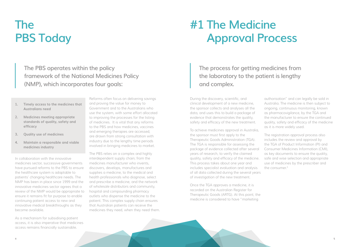- **1. Timely access to the medicines that Australians need**
- **2. Medicines meeting appropriate standards of quality, safety and efficacy**
- **3. Quality use of medicines**
- **4. Maintain a responsible and viable medicines industry**

In collaboration with the innovative medicines sector, successive governments have pursued reforms to the PBS to ensure the healthcare system is adaptable to patients' changing healthcare needs. The NMP has been in place since 1999 and the innovative medicines sector agrees that a review of the NMP would be appropriate to ensure it remains fit for purpose to enable continuing patient access to new and innovative medical breakthroughs as they become available.

As a mechanism for subsidising patient access, it is also imperative that medicines access remains financially sustainable.

To achieve medicines approval in Australia, the sponsor must first apply to the Therapeutic Goods Administration (TGA). The TGA is responsible for assessing the package of evidence collected after several years of research, to verify the claimed quality, safety and efficacy of the medicine. This process takes about one year and includes specialist evaluation and analysis of all data collected during the several years of investigation of the new treatment. The registration approval process also includes the review and approval by the TGA of Product Information (PI) and Consumer Medicines Information (CMI), as key documents to ensure the quality, safe and wise selection and appropriate use of medicines by the prescriber and the consumer.<sup>3</sup>

Reforms often focus on delivering savings and proving the value for money to Government and to the Australians who use the system, with some effort allocated to improving the processes for the listing of medicines. It is vital that any reforms to the PBS and how medicines, vaccines and emerging therapies are accessed, are drawn from strong consultation with industry due to the lengthy time periods involved in bringing medicines to market.

The PBS relies on a complex and highly interdependent supply chain; from the medicines manufacturer who invents, discovers, develops, manufactures and supplies a medicine, to the medical and health professionals who diagnose, select and prescribe a medicine, and the network of wholesale distributors and community, hospital and compounding pharmacy outlets who dispense the medicine to the patient. This complex supply chain ensures that Australian patients can receive the medicines they need, when they need them.

During the discovery, scientific, and clinical development of a new medicine, the sponsor collects and analyses all the data, and uses this to build a package of evidence that demonstrates the quality, safety and efficacy of the new treatment.

Once the TGA approves a medicine, it is recorded on the Australian Register for Therapeutic Goods (ARTG). At this point, the medicine is considered to have "marketing

authorisation" and can legally be sold in Australia. The medicine is then subject to ongoing, continuous monitoring, known as pharmacovigilance, by the TGA and the manufacturer to ensure the continued quality, safety and efficacy of the medicine as it is more widely used.

# **The PBS Today**

# **#1 The Medicine Approval Process**

**The PBS operates within the policy framework of the National Medicines Policy (NMP), which incorporates four goals:**

**The process for getting medicines from the laboratory to the patient is lengthy and complex.**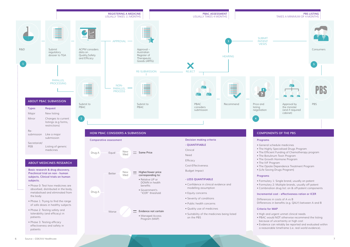## Drug A New Med Better Worse **Higher/lower price corresponding to:** • Relative UP or DOWN in health benefits • Government's "ICER" threshold **Evidence not certain** • Managed Access Program (MAP)

**Preclinical trial on non - human subjects. Clinical trials on human subjects.**



- Phase 0: Test how medicines are absorbed, distributed in the body, metabolised and eliminated from the body
- Phase 1: Trying to find the range of safe doses in healthy subjects
- Phase 2: Testing safety and tolerability (and efficacy) in patients
- Phase 3: Testing efficacy effectiveness and safety in patients

**- LESS QUANTIFIABLE**

- 
- 
- 
- 
- 
- 
- 
- 

• Confidence in clinical evidence and

modelling assumption

• Equity concerns

• Severity of conditions • Public health concerns • Quality use of medicines

• Suitability of the medicines being listed

on the PBS

### **Programs**

- Formulary 1: Single brand, usually on patent • Formulary 2: Multiple brands, usually off patent • Combination drug list: on & off-patent components
- -

## **Incremental cost - effectiveness ration or ICER**

Differences in costs of A vs B Differences in benefits (e.g. QALY) between A and B

### **Criteria for MAP**

- 
- High and urgent unmet clinical needs • PBAC would NOT otherwise recommend the listing
- because of uncertainty or high cost
- Evidence can reliably be reported and evaluated within a reasonable timeframe (i.e. real world evidence).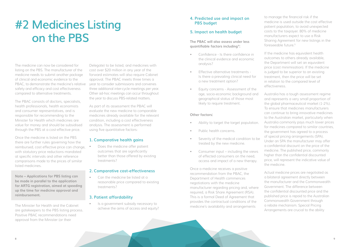The medicine can now be considered for listing on the PBS. The manufacturer of the medicine needs to submit another package of clinical and economic evidence to the PBAC, to demonstrate the medicine's relative safety and efficacy and cost effectiveness compared to alternative treatments.

The PBAC consists of doctors, specialists, health professionals, health economists and consumer representatives, and is responsible for recommending to the Minister for Health which medicines are value for money and should be subsidised through the PBS at a cost-effective price.

Once the medicine is listed on the PBS there are further rules governing how the reimbursed, cost effective price can change, with statutory price reductions mandated at specific intervals and other reference comparisons made to the prices of similar listed medicines.

**Note – Applications for PBS listing can be made in parallel to the application for ARTG registration, aimed at speeding up the time for medicine approval and reimbursement.**

Can the medicine be listed at a reasonable price compared to existing treatments?

Is a government subsidy necessary to achieve the aims of access and equity?

The Minister for Health and the Cabinet are gatekeepers to the PBS listing process. Positive PBAC recommendations need approval from the Minister (or their

Delegate) to be listed, and medicines with cost over \$20 million in any year of the forward estimates will also require Cabinet approval. The PBAC meets three times a year to consider submissions and convenes three additional inter-cycle meetings per year. Other ad-hoc meetings can occur throughout the year to discuss PBS-related matters.

- Ability to target the target population.
- Public health concerns.
- Severity of the medical condition to be treated by the new medicine.
- Consumer input including the views of effected consumers on the need, access and impact of a new therapy.

As part of its assessment the PBAC will evaluate the new medicine to comparable medicines already available for the relevant condition, including a cost effectiveness analysis. The assessment is performed using five quantitative factors:

## **1. Comparative health gains**

• Does the medicine offer patient outcomes that are significantly better than those offered by existing treatments?

### **2. Comparative cost-effectiveness**

## **3. Patient affordability**

### **4. Predicted use and impact on PBS budget**

## **5. Impact on health budget**

**The PBAC will also assess under less quantifiable factors including4:**

- Confidence Is there confidence in the clinical evidence and economic analysis?
- Effective alternative treatments Is there a prevailing clinical need for a new treatment option?
- Equity concerns Assessment of the age, socio-economic background and geographical status of those most likely to require treatment.

### **Other factors:**

Once a medicine receives a positive recommendation from the PBAC, the Department of Health commences negotiations with the medicine manufacturer regarding pricing and, where required, a Risk Share Agreement (RSA). This is a formal Deed of Agreement that provides the contractual conditions of the medicine's availability and arrangements

to manage the financial risk if the medicine is used outside the cost effective patient population, to avoid unexpected costs to the taxpayer. 80% of medicine manufacturers expect to use a Risk Sharing Agreement for new listings in the foreseeable future.5

If the medicine has equivalent health outcomes to others already available, the Department will set an equivalent price (cost minimisation). If the medicine is judged to be superior to an existing treatment, then the price will be set in relation to the compared level of effectiveness.

Australia has a tough assessment regime and represents a very small proportion of the global pharmaceutical market (1-2%). To ensure that medicines manufacturers can continue to bring innovative medicines to the Australian market, particularly when Australia commonly pays much lower prices for medicines compared to similar countries, the government has agreed to a process of special pricing arrangements (SPA). Under an SPA the manufacturer may offer a confidential discount on the price of the medicine. The published price, commonly higher than the confidential discounted price, will represent the indicative value of the medicine.

Actual medicine prices are negotiated as a bilateral agreement directly between the manufacturer and the Commonwealth Government. The difference between the confidential discounted price and the published price is repaid to the Australian Commonwealth Government through a rebate mechanism. Special Pricing Arrangements are crucial to the ability

## **#2 Medicines Listing on the PBS**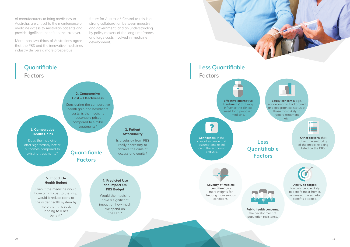of manufacturers to bring medicines to Australia, are critical to the maintenance of medicine access to Australian patients and provide significant benefit to the taxpayer.

More than two-thirds of Australians agree that the PBS and the innovative medicines industry delivers a more prosperous

future for Australia.<sup>6</sup> Central to this is a strong collaboration between industry and government, and an understanding by policy makers of the long timeframes and large costs involved in medicine development.







**Other factors:** that affect the suitability of the medicine being listed on the PBS.





**Ability to target:** towards people likely to benefit most from it, increasing the societal benefits attained.

**Equity concerns:** age, socioeconomic background and geographical status of those most likely to require treatment etc.